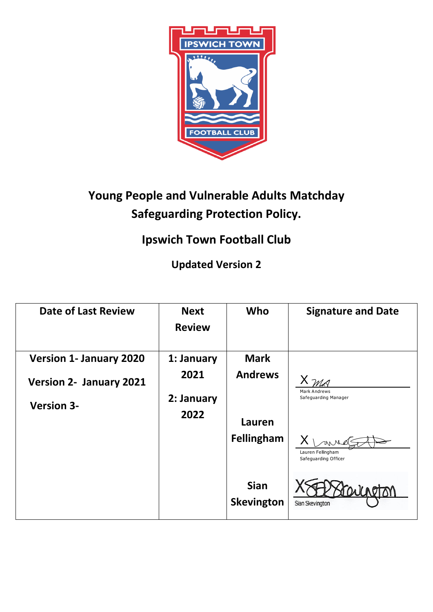

# **Young People and Vulnerable Adults Matchday Safeguarding Protection Policy.**

# **Ipswich Town Football Club**

**Updated Version 2** 

| <b>Date of Last Review</b>     | <b>Next</b><br><b>Review</b> | Who                       | <b>Signature and Date</b>                   |
|--------------------------------|------------------------------|---------------------------|---------------------------------------------|
| <b>Version 1- January 2020</b> | 1: January                   | <b>Mark</b>               |                                             |
| <b>Version 2- January 2021</b> | 2021                         | <b>Andrews</b>            |                                             |
| <b>Version 3-</b>              | 2: January                   |                           | <b>Mark Andrews</b><br>Safeguarding Manager |
|                                | 2022                         | <b>Lauren</b>             |                                             |
|                                |                              | Fellingham                | Lauren Fellingham<br>Safeguarding Officer   |
|                                |                              | <b>Sian</b><br>Skevington | Sian Skevington                             |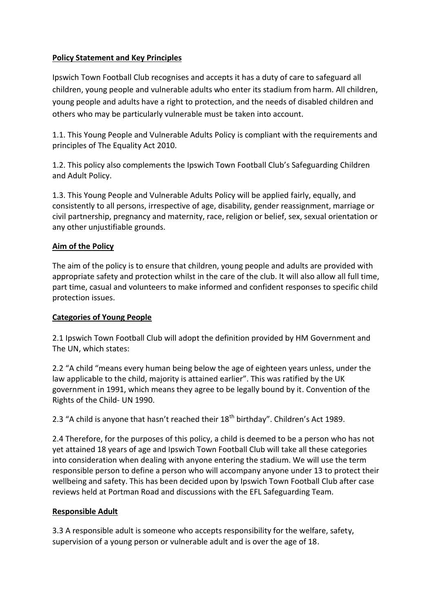## **Policy Statement and Key Principles**

Ipswich Town Football Club recognises and accepts it has a duty of care to safeguard all children, young people and vulnerable adults who enter its stadium from harm. All children, young people and adults have a right to protection, and the needs of disabled children and others who may be particularly vulnerable must be taken into account.

1.1. This Young People and Vulnerable Adults Policy is compliant with the requirements and principles of The Equality Act 2010.

1.2. This policy also complements the Ipswich Town Football Club's Safeguarding Children and Adult Policy.

1.3. This Young People and Vulnerable Adults Policy will be applied fairly, equally, and consistently to all persons, irrespective of age, disability, gender reassignment, marriage or civil partnership, pregnancy and maternity, race, religion or belief, sex, sexual orientation or any other unjustifiable grounds.

#### **Aim of the Policy**

The aim of the policy is to ensure that children, young people and adults are provided with appropriate safety and protection whilst in the care of the club. It will also allow all full time, part time, casual and volunteers to make informed and confident responses to specific child protection issues.

#### **Categories of Young People**

2.1 Ipswich Town Football Club will adopt the definition provided by HM Government and The UN, which states:

2.2 "A child "means every human being below the age of eighteen years unless, under the law applicable to the child, majority is attained earlier". This was ratified by the UK government in 1991, which means they agree to be legally bound by it. Convention of the Rights of the Child- UN 1990.

2.3 "A child is anyone that hasn't reached their  $18<sup>th</sup>$  birthday". Children's Act 1989.

2.4 Therefore, for the purposes of this policy, a child is deemed to be a person who has not yet attained 18 years of age and Ipswich Town Football Club will take all these categories into consideration when dealing with anyone entering the stadium. We will use the term responsible person to define a person who will accompany anyone under 13 to protect their wellbeing and safety. This has been decided upon by Ipswich Town Football Club after case reviews held at Portman Road and discussions with the EFL Safeguarding Team.

#### **Responsible Adult**

3.3 A responsible adult is someone who accepts responsibility for the welfare, safety, supervision of a young person or vulnerable adult and is over the age of 18.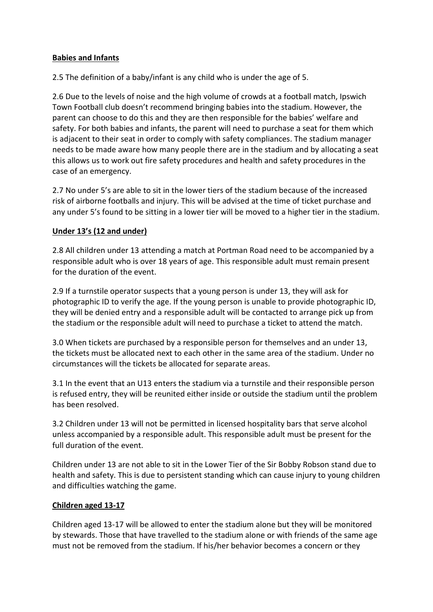#### **Babies and Infants**

2.5 The definition of a baby/infant is any child who is under the age of 5.

2.6 Due to the levels of noise and the high volume of crowds at a football match, Ipswich Town Football club doesn't recommend bringing babies into the stadium. However, the parent can choose to do this and they are then responsible for the babies' welfare and safety. For both babies and infants, the parent will need to purchase a seat for them which is adjacent to their seat in order to comply with safety compliances. The stadium manager needs to be made aware how many people there are in the stadium and by allocating a seat this allows us to work out fire safety procedures and health and safety procedures in the case of an emergency.

2.7 No under 5's are able to sit in the lower tiers of the stadium because of the increased risk of airborne footballs and injury. This will be advised at the time of ticket purchase and any under 5's found to be sitting in a lower tier will be moved to a higher tier in the stadium.

## **Under 13's (12 and under)**

2.8 All children under 13 attending a match at Portman Road need to be accompanied by a responsible adult who is over 18 years of age. This responsible adult must remain present for the duration of the event.

2.9 If a turnstile operator suspects that a young person is under 13, they will ask for photographic ID to verify the age. If the young person is unable to provide photographic ID, they will be denied entry and a responsible adult will be contacted to arrange pick up from the stadium or the responsible adult will need to purchase a ticket to attend the match.

3.0 When tickets are purchased by a responsible person for themselves and an under 13, the tickets must be allocated next to each other in the same area of the stadium. Under no circumstances will the tickets be allocated for separate areas.

3.1 In the event that an U13 enters the stadium via a turnstile and their responsible person is refused entry, they will be reunited either inside or outside the stadium until the problem has been resolved.

3.2 Children under 13 will not be permitted in licensed hospitality bars that serve alcohol unless accompanied by a responsible adult. This responsible adult must be present for the full duration of the event.

Children under 13 are not able to sit in the Lower Tier of the Sir Bobby Robson stand due to health and safety. This is due to persistent standing which can cause injury to young children and difficulties watching the game.

#### **Children aged 13-17**

Children aged 13-17 will be allowed to enter the stadium alone but they will be monitored by stewards. Those that have travelled to the stadium alone or with friends of the same age must not be removed from the stadium. If his/her behavior becomes a concern or they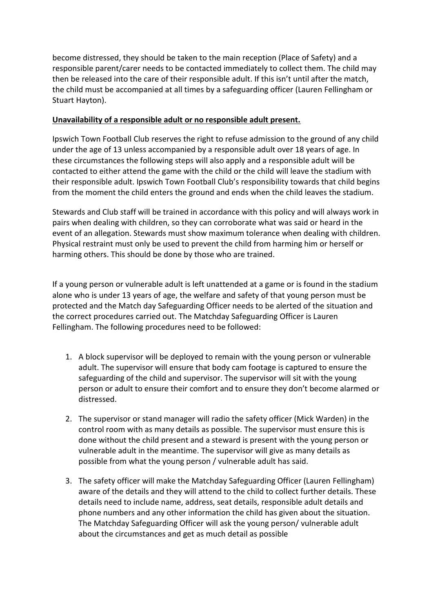become distressed, they should be taken to the main reception (Place of Safety) and a responsible parent/carer needs to be contacted immediately to collect them. The child may then be released into the care of their responsible adult. If this isn't until after the match, the child must be accompanied at all times by a safeguarding officer (Lauren Fellingham or Stuart Hayton).

### **Unavailability of a responsible adult or no responsible adult present.**

Ipswich Town Football Club reserves the right to refuse admission to the ground of any child under the age of 13 unless accompanied by a responsible adult over 18 years of age. In these circumstances the following steps will also apply and a responsible adult will be contacted to either attend the game with the child or the child will leave the stadium with their responsible adult. Ipswich Town Football Club's responsibility towards that child begins from the moment the child enters the ground and ends when the child leaves the stadium.

Stewards and Club staff will be trained in accordance with this policy and will always work in pairs when dealing with children, so they can corroborate what was said or heard in the event of an allegation. Stewards must show maximum tolerance when dealing with children. Physical restraint must only be used to prevent the child from harming him or herself or harming others. This should be done by those who are trained.

If a young person or vulnerable adult is left unattended at a game or is found in the stadium alone who is under 13 years of age, the welfare and safety of that young person must be protected and the Match day Safeguarding Officer needs to be alerted of the situation and the correct procedures carried out. The Matchday Safeguarding Officer is Lauren Fellingham. The following procedures need to be followed:

- 1. A block supervisor will be deployed to remain with the young person or vulnerable adult. The supervisor will ensure that body cam footage is captured to ensure the safeguarding of the child and supervisor. The supervisor will sit with the young person or adult to ensure their comfort and to ensure they don't become alarmed or distressed.
- 2. The supervisor or stand manager will radio the safety officer (Mick Warden) in the control room with as many details as possible. The supervisor must ensure this is done without the child present and a steward is present with the young person or vulnerable adult in the meantime. The supervisor will give as many details as possible from what the young person / vulnerable adult has said.
- 3. The safety officer will make the Matchday Safeguarding Officer (Lauren Fellingham) aware of the details and they will attend to the child to collect further details. These details need to include name, address, seat details, responsible adult details and phone numbers and any other information the child has given about the situation. The Matchday Safeguarding Officer will ask the young person/ vulnerable adult about the circumstances and get as much detail as possible